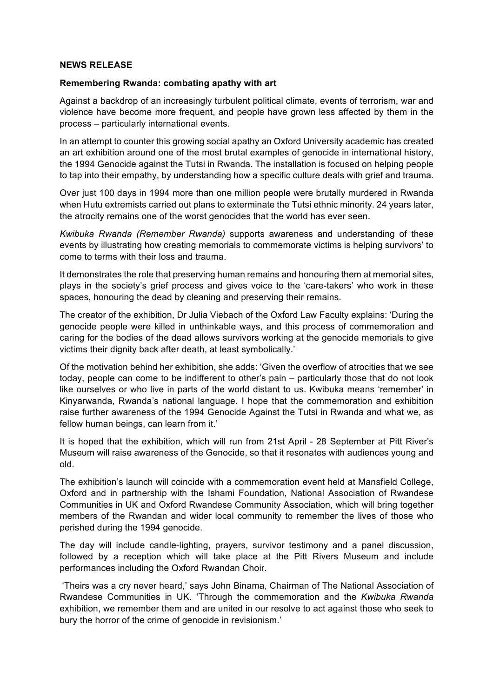## **NEWS RELEASE**

## **Remembering Rwanda: combating apathy with art**

Against a backdrop of an increasingly turbulent political climate, events of terrorism, war and violence have become more frequent, and people have grown less affected by them in the process – particularly international events.

In an attempt to counter this growing social apathy an Oxford University academic has created an art exhibition around one of the most brutal examples of genocide in international history, the 1994 Genocide against the Tutsi in Rwanda. The installation is focused on helping people to tap into their empathy, by understanding how a specific culture deals with grief and trauma.

Over just 100 days in 1994 more than one million people were brutally murdered in Rwanda when Hutu extremists carried out plans to exterminate the Tutsi ethnic minority. 24 years later, the atrocity remains one of the worst genocides that the world has ever seen.

*Kwibuka Rwanda (Remember Rwanda)* supports awareness and understanding of these events by illustrating how creating memorials to commemorate victims is helping survivors' to come to terms with their loss and trauma.

It demonstrates the role that preserving human remains and honouring them at memorial sites, plays in the society's grief process and gives voice to the 'care-takers' who work in these spaces, honouring the dead by cleaning and preserving their remains.

The creator of the exhibition, Dr Julia Viebach of the Oxford Law Faculty explains: 'During the genocide people were killed in unthinkable ways, and this process of commemoration and caring for the bodies of the dead allows survivors working at the genocide memorials to give victims their dignity back after death, at least symbolically.'

Of the motivation behind her exhibition, she adds: 'Given the overflow of atrocities that we see today, people can come to be indifferent to other's pain – particularly those that do not look like ourselves or who live in parts of the world distant to us. Kwibuka means 'remember' in Kinyarwanda, Rwanda's national language. I hope that the commemoration and exhibition raise further awareness of the 1994 Genocide Against the Tutsi in Rwanda and what we, as fellow human beings, can learn from it.'

It is hoped that the exhibition, which will run from 21st April - 28 September at Pitt River's Museum will raise awareness of the Genocide, so that it resonates with audiences young and old.

The exhibition's launch will coincide with a commemoration event held at Mansfield College, Oxford and in partnership with the Ishami Foundation, National Association of Rwandese Communities in UK and Oxford Rwandese Community Association, which will bring together members of the Rwandan and wider local community to remember the lives of those who perished during the 1994 genocide.

The day will include candle-lighting, prayers, survivor testimony and a panel discussion, followed by a reception which will take place at the Pitt Rivers Museum and include performances including the Oxford Rwandan Choir.

'Theirs was a cry never heard,' says John Binama, Chairman of The National Association of Rwandese Communities in UK. 'Through the commemoration and the *Kwibuka Rwanda*  exhibition, we remember them and are united in our resolve to act against those who seek to bury the horror of the crime of genocide in revisionism.'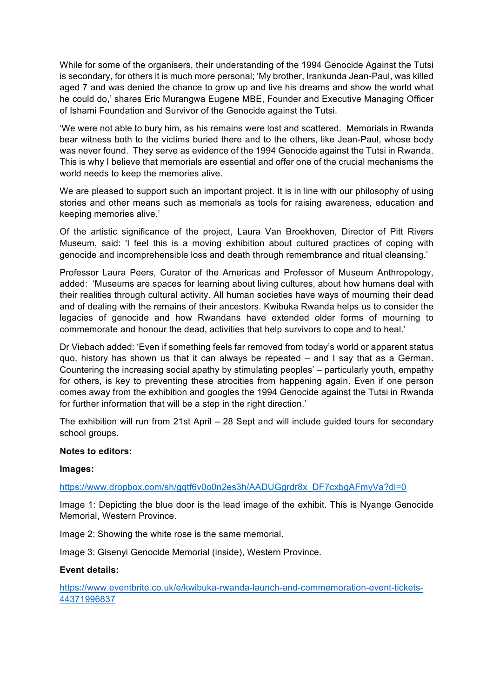While for some of the organisers, their understanding of the 1994 Genocide Against the Tutsi is secondary, for others it is much more personal; 'My brother, Irankunda Jean-Paul, was killed aged 7 and was denied the chance to grow up and live his dreams and show the world what he could do,' shares Eric Murangwa Eugene MBE, Founder and Executive Managing Officer of Ishami Foundation and Survivor of the Genocide against the Tutsi.

'We were not able to bury him, as his remains were lost and scattered. Memorials in Rwanda bear witness both to the victims buried there and to the others, like Jean-Paul, whose body was never found. They serve as evidence of the 1994 Genocide against the Tutsi in Rwanda. This is why I believe that memorials are essential and offer one of the crucial mechanisms the world needs to keep the memories alive.

We are pleased to support such an important project. It is in line with our philosophy of using stories and other means such as memorials as tools for raising awareness, education and keeping memories alive.'

Of the artistic significance of the project, Laura Van Broekhoven, Director of Pitt Rivers Museum, said: 'I feel this is a moving exhibition about cultured practices of coping with genocide and incomprehensible loss and death through remembrance and ritual cleansing.'

Professor Laura Peers, Curator of the Americas and Professor of Museum Anthropology, added: 'Museums are spaces for learning about living cultures, about how humans deal with their realities through cultural activity. All human societies have ways of mourning their dead and of dealing with the remains of their ancestors. Kwibuka Rwanda helps us to consider the legacies of genocide and how Rwandans have extended older forms of mourning to commemorate and honour the dead, activities that help survivors to cope and to heal.'

Dr Viebach added: 'Even if something feels far removed from today's world or apparent status quo, history has shown us that it can always be repeated – and I say that as a German. Countering the increasing social apathy by stimulating peoples' – particularly youth, empathy for others, is key to preventing these atrocities from happening again. Even if one person comes away from the exhibition and googles the 1994 Genocide against the Tutsi in Rwanda for further information that will be a step in the right direction.'

The exhibition will run from 21st April – 28 Sept and will include guided tours for secondary school groups.

#### **Notes to editors:**

#### **Images:**

https://www.dropbox.com/sh/gqtf6v0o0n2es3h/AADUGgrdr8x\_DF7cxbgAFmyVa?dl=0

Image 1: Depicting the blue door is the lead image of the exhibit. This is Nyange Genocide Memorial, Western Province.

Image 2: Showing the white rose is the same memorial.

Image 3: Gisenyi Genocide Memorial (inside), Western Province.

#### **Event details:**

https://www.eventbrite.co.uk/e/kwibuka-rwanda-launch-and-commemoration-event-tickets-44371996837